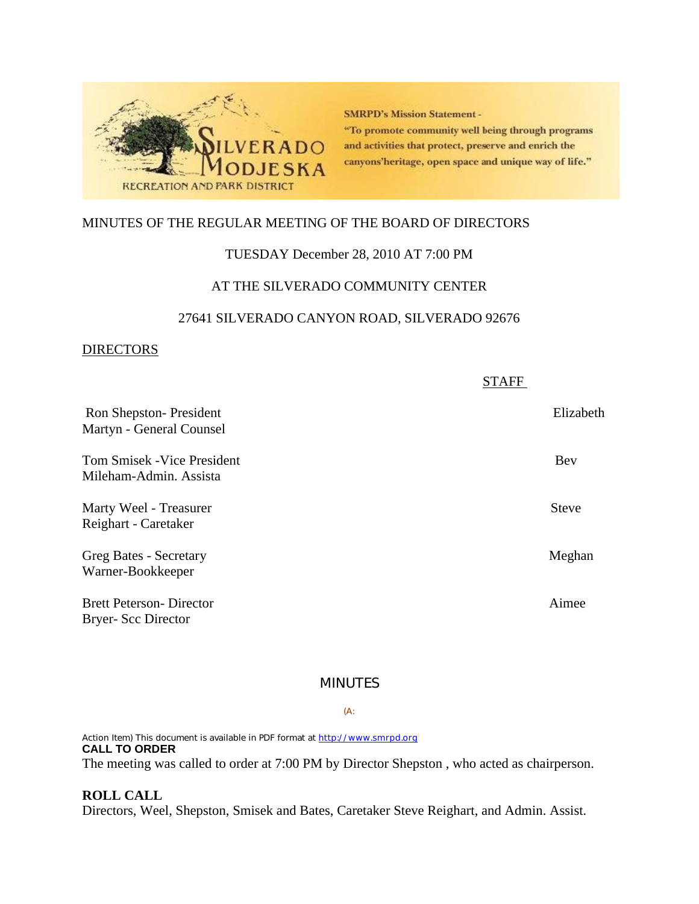

**SMRPD's Mission Statement -**"To promote community well being through programs and activities that protect, preserve and enrich the canyons'heritage, open space and unique way of life."

# MINUTES OF THE REGULAR MEETING OF THE BOARD OF DIRECTORS

## TUESDAY December 28, 2010 AT 7:00 PM

## AT THE SILVERADO COMMUNITY CENTER

# 27641 SILVERADO CANYON ROAD, SILVERADO 92676

## **DIRECTORS**

|                                                              | <b>STAFF</b> |
|--------------------------------------------------------------|--------------|
| Ron Shepston-President<br>Martyn - General Counsel           | Elizabeth    |
| <b>Tom Smisek - Vice President</b><br>Mileham-Admin. Assista | Bev          |
| Marty Weel - Treasurer<br>Reighart - Caretaker               | <b>Steve</b> |
| Greg Bates - Secretary<br>Warner-Bookkeeper                  | Meghan       |
| <b>Brett Peterson- Director</b><br><b>Bryer-Scc Director</b> | Aimee        |

# MINUTES

### (A:

Action Item) This document is available in PDF format at http://www.smrpd.org **CALL TO ORDER** The meeting was called to order at 7:00 PM by Director Shepston , who acted as chairperson.

## **ROLL CALL**

Directors, Weel, Shepston, Smisek and Bates, Caretaker Steve Reighart, and Admin. Assist.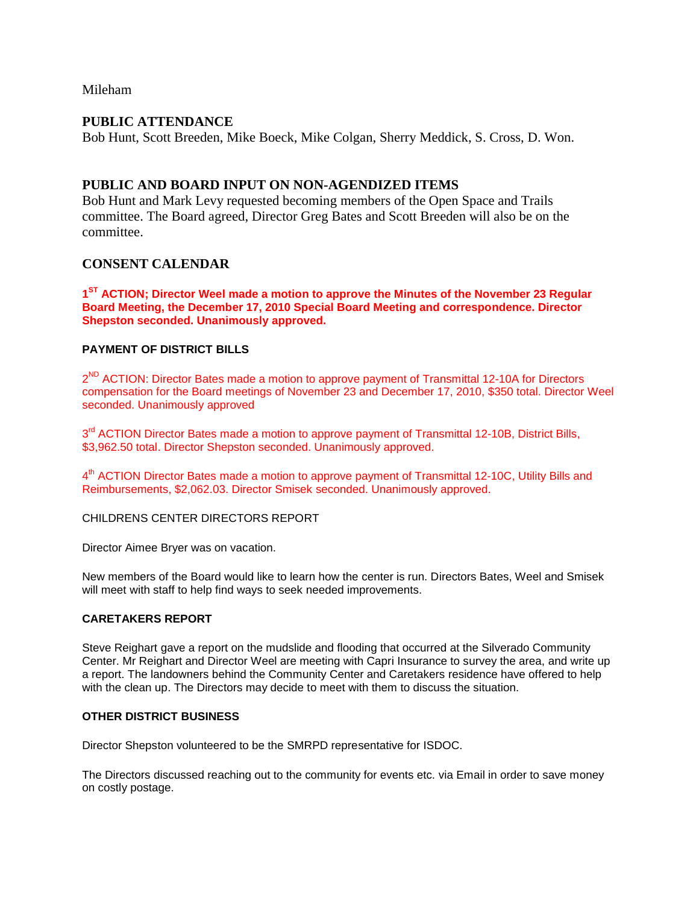Mileham

## **PUBLIC ATTENDANCE**

Bob Hunt, Scott Breeden, Mike Boeck, Mike Colgan, Sherry Meddick, S. Cross, D. Won.

## **PUBLIC AND BOARD INPUT ON NON-AGENDIZED ITEMS**

Bob Hunt and Mark Levy requested becoming members of the Open Space and Trails committee. The Board agreed, Director Greg Bates and Scott Breeden will also be on the committee.

## **CONSENT CALENDAR**

**1ST ACTION; Director Weel made a motion to approve the Minutes of the November 23 Regular Board Meeting, the December 17, 2010 Special Board Meeting and correspondence. Director Shepston seconded. Unanimously approved.**

### **PAYMENT OF DISTRICT BILLS**

2<sup>ND</sup> ACTION: Director Bates made a motion to approve payment of Transmittal 12-10A for Directors compensation for the Board meetings of November 23 and December 17, 2010, \$350 total. Director Weel seconded. Unanimously approved

3<sup>rd</sup> ACTION Director Bates made a motion to approve payment of Transmittal 12-10B, District Bills, \$3,962.50 total. Director Shepston seconded. Unanimously approved.

4<sup>th</sup> ACTION Director Bates made a motion to approve payment of Transmittal 12-10C, Utility Bills and Reimbursements, \$2,062.03. Director Smisek seconded. Unanimously approved.

CHILDRENS CENTER DIRECTORS REPORT

Director Aimee Bryer was on vacation.

New members of the Board would like to learn how the center is run. Directors Bates, Weel and Smisek will meet with staff to help find ways to seek needed improvements.

### **CARETAKERS REPORT**

Steve Reighart gave a report on the mudslide and flooding that occurred at the Silverado Community Center. Mr Reighart and Director Weel are meeting with Capri Insurance to survey the area, and write up a report. The landowners behind the Community Center and Caretakers residence have offered to help with the clean up. The Directors may decide to meet with them to discuss the situation.

#### **OTHER DISTRICT BUSINESS**

Director Shepston volunteered to be the SMRPD representative for ISDOC.

The Directors discussed reaching out to the community for events etc. via Email in order to save money on costly postage.